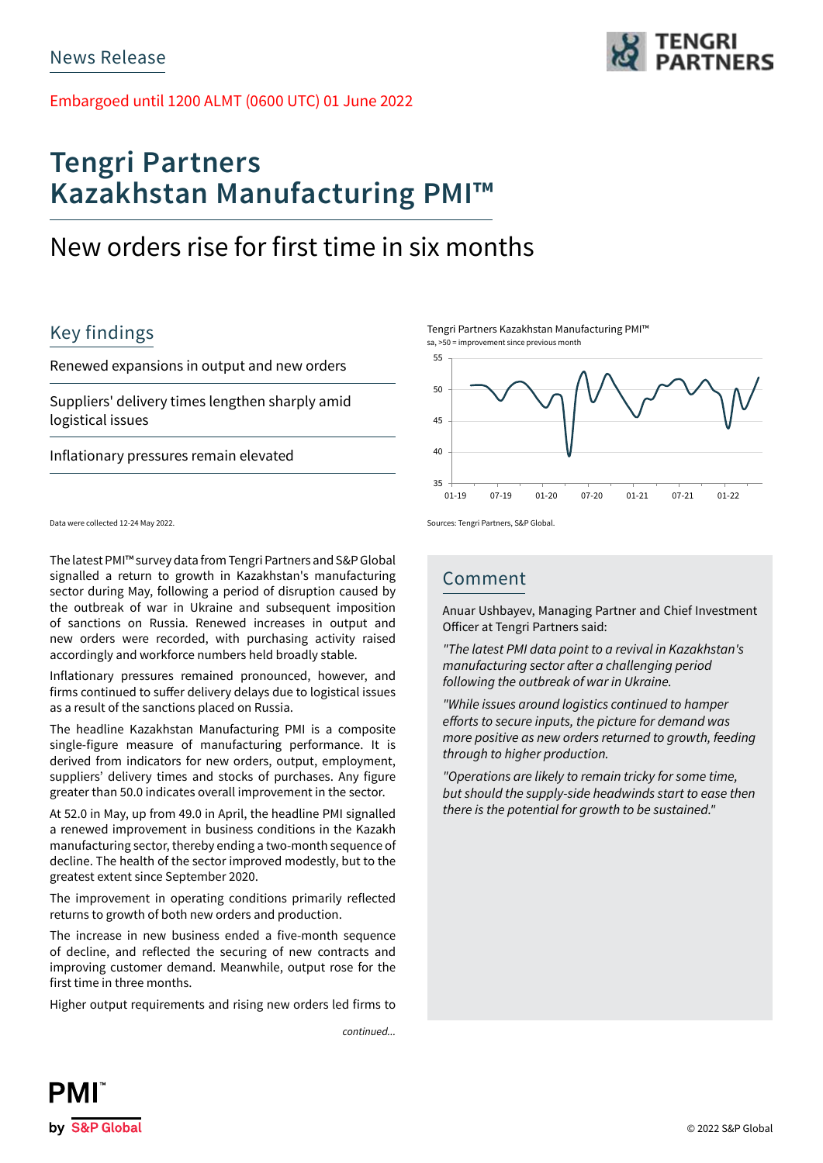Embargoed until 1200 ALMT (0600 UTC) 01 June 2022

# **Tengri Partners Kazakhstan Manufacturing PMI™**

## New orders rise for first time in six months

## Key findings

Renewed expansions in output and new orders

Suppliers' delivery times lengthen sharply amid logistical issues

Inflationary pressures remain elevated

Data were collected 12-24 May 2022.

The latest PMI™ survey data from Tengri Partners and S&P Global signalled a return to growth in Kazakhstan's manufacturing sector during May, following a period of disruption caused by the outbreak of war in Ukraine and subsequent imposition of sanctions on Russia. Renewed increases in output and new orders were recorded, with purchasing activity raised accordingly and workforce numbers held broadly stable.

Inflationary pressures remained pronounced, however, and firms continued to suffer delivery delays due to logistical issues as a result of the sanctions placed on Russia.

The headline Kazakhstan Manufacturing PMI is a composite single-figure measure of manufacturing performance. It is derived from indicators for new orders, output, employment, suppliers' delivery times and stocks of purchases. Any figure greater than 50.0 indicates overall improvement in the sector.

At 52.0 in May, up from 49.0 in April, the headline PMI signalled a renewed improvement in business conditions in the Kazakh manufacturing sector, thereby ending a two-month sequence of decline. The health of the sector improved modestly, but to the greatest extent since September 2020.

The improvement in operating conditions primarily reflected returns to growth of both new orders and production.

The increase in new business ended a five-month sequence of decline, and reflected the securing of new contracts and improving customer demand. Meanwhile, output rose for the first time in three months.

Higher output requirements and rising new orders led firms to

*continued...*



Tengri Partners Kazakhstan Manufacturing PMI™ sa, >50 = improvement since previous month



Sources: Tengri Partners, S&P Global.

### Comment

Anuar Ushbayev, Managing Partner and Chief Investment Officer at Tengri Partners said:

*"The latest PMI data point to a revival in Kazakhstan's*  manufacturing sector after a challenging period *following the outbreak of war in Ukraine.* 

*"While issues around logistics continued to hamper*  efforts to secure inputs, the picture for demand was more positive as new orders returned to growth, feeding *through to higher production.*

"Operations are likely to remain tricky for some time, *but should the supply-side headwinds start to ease then there is the potential for growth to be sustained."*